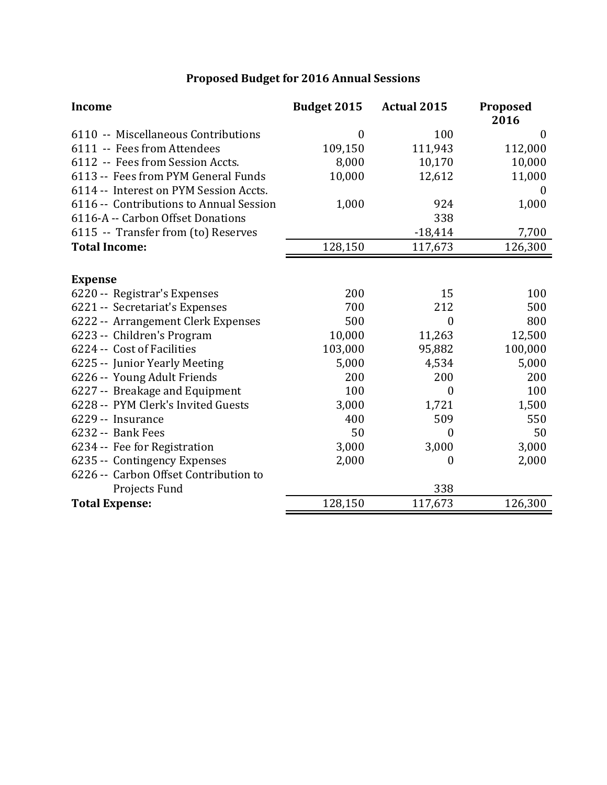## **Proposed Budget for 2016 Annual Sessions**

| <b>Income</b>                           | Budget 2015      | <b>Actual 2015</b> | Proposed<br>2016 |
|-----------------------------------------|------------------|--------------------|------------------|
| 6110 -- Miscellaneous Contributions     | $\boldsymbol{0}$ | 100                | $\overline{0}$   |
| 6111 -- Fees from Attendees             | 109,150          | 111,943            | 112,000          |
| 6112 -- Fees from Session Accts.        | 8,000            | 10,170             | 10,000           |
| 6113 -- Fees from PYM General Funds     | 10,000           | 12,612             | 11,000           |
| 6114 -- Interest on PYM Session Accts.  |                  |                    | $\overline{0}$   |
| 6116 -- Contributions to Annual Session | 1,000            | 924                | 1,000            |
| 6116-A -- Carbon Offset Donations       |                  | 338                |                  |
| 6115 -- Transfer from (to) Reserves     |                  | $-18,414$          | 7,700            |
| <b>Total Income:</b>                    | 128,150          | 117,673            | 126,300          |
|                                         |                  |                    |                  |
| <b>Expense</b>                          |                  |                    |                  |
| 6220 -- Registrar's Expenses            | 200              | 15                 | 100              |
| 6221 -- Secretariat's Expenses          | 700              | 212                | 500              |
| 6222 -- Arrangement Clerk Expenses      | 500              | $\boldsymbol{0}$   | 800              |
| 6223 -- Children's Program              | 10,000           | 11,263             | 12,500           |
| 6224 -- Cost of Facilities              | 103,000          | 95,882             | 100,000          |
| 6225 -- Junior Yearly Meeting           | 5,000            | 4,534              | 5,000            |
| 6226 -- Young Adult Friends             | 200              | 200                | 200              |
| 6227 -- Breakage and Equipment          | 100              | $\boldsymbol{0}$   | 100              |
| 6228 -- PYM Clerk's Invited Guests      | 3,000            | 1,721              | 1,500            |
| 6229 -- Insurance                       | 400              | 509                | 550              |
| 6232 -- Bank Fees                       | 50               | $\theta$           | 50               |
| 6234 -- Fee for Registration            | 3,000            | 3,000              | 3,000            |
| 6235 -- Contingency Expenses            | 2,000            | 0                  | 2,000            |
| 6226 -- Carbon Offset Contribution to   |                  |                    |                  |
| Projects Fund                           |                  | 338                |                  |
| <b>Total Expense:</b>                   | 128,150          | 117,673            | 126,300          |